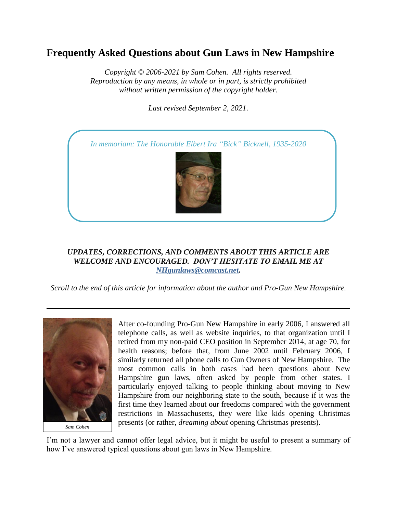# **Frequently Asked Questions about Gun Laws in New Hampshire**

*Copyright © 2006-2021 by Sam Cohen. All rights reserved. Reproduction by any means, in whole or in part, is strictly prohibited without written permission of the copyright holder.*

*Last revised September 2, 2021*.



# *UPDATES, CORRECTIONS, AND COMMENTS ABOUT THIS ARTICLE ARE WELCOME AND ENCOURAGED. DON'T HESITATE TO EMAIL ME AT [NHgunlaws@comcast.net.](mailto:NHgunlaws@comcast.net)*

*Scroll to the end of this article for information about the author and Pro-Gun New Hampshire.*



After co-founding Pro-Gun New Hampshire in early 2006, I answered all telephone calls, as well as website inquiries, to that organization until I retired from my non-paid CEO position in September 2014, at age 70, for health reasons; before that, from June 2002 until February 2006, I similarly returned all phone calls to Gun Owners of New Hampshire. The most common calls in both cases had been questions about New Hampshire gun laws, often asked by people from other states. I particularly enjoyed talking to people thinking about moving to New Hampshire from our neighboring state to the south, because if it was the first time they learned about our freedoms compared with the government restrictions in Massachusetts, they were like kids opening Christmas presents (or rather, *dreaming about* opening Christmas presents).

I'm not a lawyer and cannot offer legal advice, but it might be useful to present a summary of how I've answered typical questions about gun laws in New Hampshire.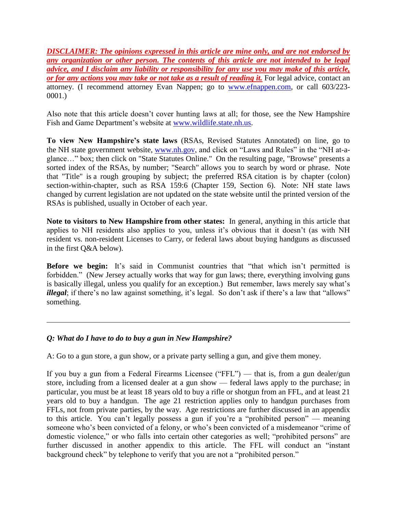*DISCLAIMER: The opinions expressed in this article are mine only, and are not endorsed by any organization or other person. The contents of this article are not intended to be legal advice, and I disclaim any liability or responsibility for any use you may make of this article, or for any actions you may take or not take as a result of reading it.* For legal advice, contact an attorney. (I recommend attorney Evan Nappen; go to [www.efnappen.com,](http://www.efnappen.com/) or call 603/223- 0001.)

Also note that this article doesn't cover hunting laws at all; for those, see the New Hampshire Fish and Game Department's website at [www.wildlife.state.nh.us.](http://www.wildlife.state.nh.us/)

**To view New Hampshire's state laws** (RSAs, Revised Statutes Annotated) on line, go to the NH state government website, [www.nh.gov,](http://www.nh.gov/) and click on "Laws and Rules" in the "NH at-aglance…" box; then click on "State Statutes Online." On the resulting page, "Browse" presents a sorted index of the RSAs, by number; "Search" allows you to search by word or phrase. Note that "Title" is a rough grouping by subject; the preferred RSA citation is by chapter (colon) section-within-chapter, such as RSA 159:6 (Chapter 159, Section 6). Note: NH state laws changed by current legislation are not updated on the state website until the printed version of the RSAs is published, usually in October of each year.

**Note to visitors to New Hampshire from other states:** In general, anything in this article that applies to NH residents also applies to you, unless it's obvious that it doesn't (as with NH resident vs. non-resident Licenses to Carry, or federal laws about buying handguns as discussed in the first Q&A below).

**Before we begin:** It's said in Communist countries that "that which isn't permitted is forbidden." (New Jersey actually works that way for gun laws; there, everything involving guns is basically illegal, unless you qualify for an exception.) But remember, laws merely say what's *illegal*; if there's no law against something, it's legal. So don't ask if there's a law that "allows" something.

# *Q: What do I have to do to buy a gun in New Hampshire?*

A: Go to a gun store, a gun show, or a private party selling a gun, and give them money.

If you buy a gun from a Federal Firearms Licensee ("FFL") — that is, from a gun dealer/gun store, including from a licensed dealer at a gun show — federal laws apply to the purchase; in particular, you must be at least 18 years old to buy a rifle or shotgun from an FFL, and at least 21 years old to buy a handgun. The age 21 restriction applies only to handgun purchases from FFLs, not from private parties, by the way. Age restrictions are further discussed in an appendix to this article. You can't legally possess a gun if you're a "prohibited person" — meaning someone who's been convicted of a felony, or who's been convicted of a misdemeanor "crime of domestic violence," or who falls into certain other categories as well; "prohibited persons" are further discussed in another appendix to this article. The FFL will conduct an "instant background check" by telephone to verify that you are not a "prohibited person."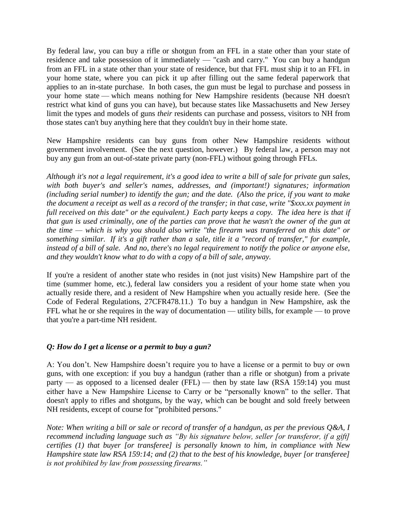By federal law, you can buy a rifle or shotgun from an FFL in a state other than your state of residence and take possession of it immediately — "cash and carry." You can buy a handgun from an FFL in a state other than your state of residence, but that FFL must ship it to an FFL in your home state, where you can pick it up after filling out the same federal paperwork that applies to an in-state purchase. In both cases, the gun must be legal to purchase and possess in your home state — which means nothing for New Hampshire residents (because NH doesn't restrict what kind of guns you can have), but because states like Massachusetts and New Jersey limit the types and models of guns *their* residents can purchase and possess, visitors to NH from those states can't buy anything here that they couldn't buy in their home state.

New Hampshire residents can buy guns from other New Hampshire residents without government involvement. (See the next question, however.) By federal law, a person may not buy any gun from an out-of-state private party (non-FFL) without going through FFLs.

*Although it's not a legal requirement, it's a good idea to write a bill of sale for private gun sales, with both buyer's and seller's names, addresses, and (important!) signatures; information (including serial number) to identify the gun; and the date. (Also the price, if you want to make the document a receipt as well as a record of the transfer; in that case, write "\$xxx.xx payment in full received on this date" or the equivalent.) Each party keeps a copy. The idea here is that if that gun is used criminally, one of the parties can prove that he wasn't the owner of the gun at the time — which is why you should also write "the firearm was transferred on this date" or something similar. If it's a gift rather than a sale, title it a "record of transfer," for example, instead of a bill of sale. And no, there's no legal requirement to notify the police or anyone else, and they wouldn't know what to do with a copy of a bill of sale, anyway.*

If you're a resident of another state who resides in (not just visits) New Hampshire part of the time (summer home, etc.), federal law considers you a resident of your home state when you actually reside there, and a resident of New Hampshire when you actually reside here. (See the Code of Federal Regulations, 27CFR478.11.) To buy a handgun in New Hampshire, ask the FFL what he or she requires in the way of documentation — utility bills, for example — to prove that you're a part-time NH resident.

# *Q: How do I get a license or a permit to buy a gun?*

A: You don't. New Hampshire doesn't require you to have a license or a permit to buy or own guns, with one exception: if you buy a handgun (rather than a rifle or shotgun) from a private party — as opposed to a licensed dealer (FFL) — then by state law (RSA 159:14) you must either have a New Hampshire License to Carry or be "personally known" to the seller. That doesn't apply to rifles and shotguns, by the way, which can be bought and sold freely between NH residents, except of course for "prohibited persons."

*Note: When writing a bill or sale or record of transfer of a handgun, as per the previous Q&A, I recommend including language such as "By his signature below, seller [or transferor, if a gift] certifies (1) that buyer [or transferee] is personally known to him, in compliance with New Hampshire state law RSA 159:14; and (2) that to the best of his knowledge, buyer [or transferee] is not prohibited by law from possessing firearms."*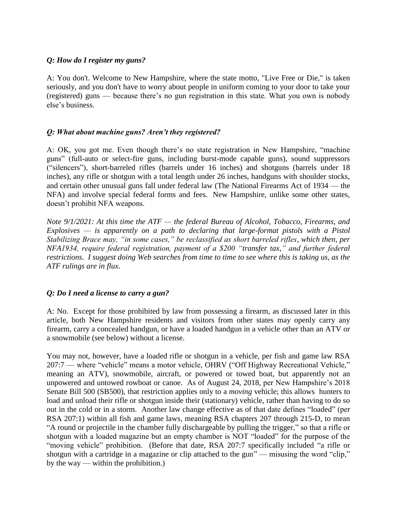#### *Q: How do I register my guns?*

A: You don't. Welcome to New Hampshire, where the state motto, "Live Free or Die," is taken seriously, and you don't have to worry about people in uniform coming to your door to take your (registered) guns — because there's no gun registration in this state. What you own is nobody else's business.

#### *Q: What about machine guns? Aren't they registered?*

A: OK, you got me. Even though there's no state registration in New Hampshire, "machine guns" (full-auto or select-fire guns, including burst-mode capable guns), sound suppressors ("silencers"), short-barreled rifles (barrels under 16 inches) and shotguns (barrels under 18 inches), any rifle or shotgun with a total length under 26 inches, handguns with shoulder stocks, and certain other unusual guns fall under federal law (The National Firearms Act of 1934 — the NFA) and involve special federal forms and fees. New Hampshire, unlike some other states, doesn't prohibit NFA weapons.

*Note 9/1/2021: At this time the ATF — the federal Bureau of Alcohol, Tobacco, Firearms, and Explosives — is apparently on a path to declaring that large-format pistols with a Pistol Stabilizing Brace may, "in some cases," be reclassified as short barreled rifles, which then, per NFA1934, require federal registration, payment of a \$200 "transfer tax," and further federal restrictions. I suggest doing Web searches from time to time to see where this is taking us, as the ATF rulings are in flux.*

#### *Q: Do I need a license to carry a gun?*

A: No. Except for those prohibited by law from possessing a firearm, as discussed later in this article, both New Hampshire residents and visitors from other states may openly carry any firearm, carry a concealed handgun, or have a loaded handgun in a vehicle other than an ATV or a snowmobile (see below) without a license.

You may not, however, have a loaded rifle or shotgun in a vehicle, per fish and game law RSA 207:7 — where "vehicle" means a motor vehicle, OHRV ("Off Highway Recreational Vehicle," meaning an ATV), snowmobile, aircraft, or powered or towed boat, but apparently not an unpowered and untowed rowboat or canoe. As of August 24, 2018, per New Hampshire's 2018 Senate Bill 500 (SB500), that restriction applies only to a *moving* vehicle; this allows hunters to load and unload their rifle or shotgun inside their (stationary) vehicle, rather than having to do so out in the cold or in a storm. Another law change effective as of that date defines "loaded" (per RSA 207:1) within all fish and game laws, meaning RSA chapters 207 through 215-D, to mean "A round or projectile in the chamber fully dischargeable by pulling the trigger," so that a rifle or shotgun with a loaded magazine but an empty chamber is NOT "loaded" for the purpose of the "moving vehicle" prohibition. (Before that date, RSA 207:7 specifically included "a rifle or shotgun with a cartridge in a magazine or clip attached to the gun" — misusing the word "clip," by the way — within the prohibition.)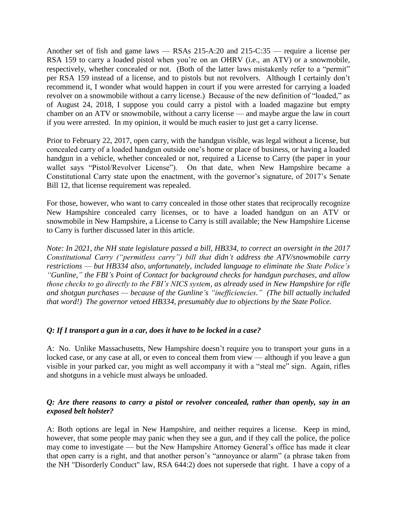Another set of fish and game laws — RSAs 215-A:20 and 215-C:35 — require a license per RSA 159 to carry a loaded pistol when you're on an OHRV (i.e., an ATV) or a snowmobile, respectively, whether concealed or not. (Both of the latter laws mistakenly refer to a "permit" per RSA 159 instead of a license, and to pistols but not revolvers. Although I certainly don't recommend it, I wonder what would happen in court if you were arrested for carrying a loaded revolver on a snowmobile without a carry license.) Because of the new definition of "loaded," as of August 24, 2018, I suppose you could carry a pistol with a loaded magazine but empty chamber on an ATV or snowmobile, without a carry license — and maybe argue the law in court if you were arrested. In my opinion, it would be much easier to just get a carry license.

Prior to February 22, 2017, open carry, with the handgun visible, was legal without a license, but concealed carry of a loaded handgun outside one's home or place of business, or having a loaded handgun in a vehicle, whether concealed or not, required a License to Carry (the paper in your wallet says "Pistol/Revolver License"). On that date, when New Hampshire became a Constitutional Carry state upon the enactment, with the governor's signature, of 2017's Senate Bill 12, that license requirement was repealed.

For those, however, who want to carry concealed in those other states that reciprocally recognize New Hampshire concealed carry licenses, or to have a loaded handgun on an ATV or snowmobile in New Hampshire, a License to Carry is still available; the New Hampshire License to Carry is further discussed later in this article.

*Note: In 2021, the NH state legislature passed a bill, HB334, to correct an oversight in the 2017 Constitutional Carry ("permitless carry") bill that didn't address the ATV/snowmobile carry restrictions — but HB334 also, unfortunately, included language to eliminate the State Police's "Gunline," the FBI's Point of Contact for background checks for handgun purchases, and allow those checks to go directly to the FBI's NICS system, as already used in New Hampshire for rifle and shotgun purchases — because of the Gunline's "inefficiencies." (The bill actually included that word!) The governor vetoed HB334, presumably due to objections by the State Police.*

# *Q: If I transport a gun in a car, does it have to be locked in a case?*

A: No. Unlike Massachusetts, New Hampshire doesn't require you to transport your guns in a locked case, or any case at all, or even to conceal them from view — although if you leave a gun visible in your parked car, you might as well accompany it with a "steal me" sign. Again, rifles and shotguns in a vehicle must always be unloaded.

# *Q: Are there reasons to carry a pistol or revolver concealed, rather than openly, say in an exposed belt holster?*

A: Both options are legal in New Hampshire, and neither requires a license. Keep in mind, however, that some people may panic when they see a gun, and if they call the police, the police may come to investigate — but the New Hampshire Attorney General's office has made it clear that open carry is a right, and that another person's "annoyance or alarm" (a phrase taken from the NH "Disorderly Conduct" law, RSA 644:2) does not supersede that right. I have a copy of a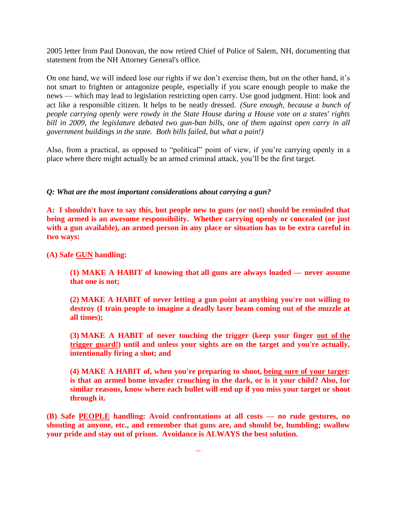2005 letter from Paul Donovan, the now retired Chief of Police of Salem, NH, documenting that statement from the NH Attorney General's office.

On one hand, we will indeed lose our rights if we don't exercise them, but on the other hand, it's not smart to frighten or antagonize people, especially if you scare enough people to make the news — which may lead to legislation restricting open carry. Use good judgment. Hint: look and act like a responsible citizen. It helps to be neatly dressed. *(Sure enough, because a bunch of people carrying openly were rowdy in the State House during a House vote on a states' rights bill in 2009, the legislature debated two gun-ban bills, one of them against open carry in all government buildings in the state. Both bills failed, but what a pain!)*

Also, from a practical, as opposed to "political" point of view, if you're carrying openly in a place where there might actually be an armed criminal attack, you'll be the first target.

#### *Q: What are the most important considerations about carrying a gun?*

**A: I shouldn't have to say this, but people new to guns (or not!) should be reminded that being armed is an awesome responsibility. Whether carrying openly or concealed (or just with a gun available), an armed person in any place or situation has to be extra careful in two ways:** 

**(A) Safe GUN handling:** 

**(1) MAKE A HABIT of knowing that all guns are always loaded — never assume that one is not;** 

**(2) MAKE A HABIT of never letting a gun point at anything you're not willing to destroy (I train people to imagine a deadly laser beam coming out of the muzzle at all times);** 

**(3) MAKE A HABIT of never touching the trigger (keep your finger out of the trigger guard!) until and unless your sights are on the target and you're actually, intentionally firing a shot; and** 

**(4) MAKE A HABIT of, when you're preparing to shoot, being sure of your target: is that an armed home invader crouching in the dark, or is it your child? Also, for similar reasons, know where each bullet will end up if you miss your target or shoot through it.**

**(B) Safe PEOPLE handling: Avoid confrontations at all costs — no rude gestures, no shouting at anyone, etc., and remember that guns are, and should be, humbling; swallow your pride and stay out of prison. Avoidance is ALWAYS the best solution.**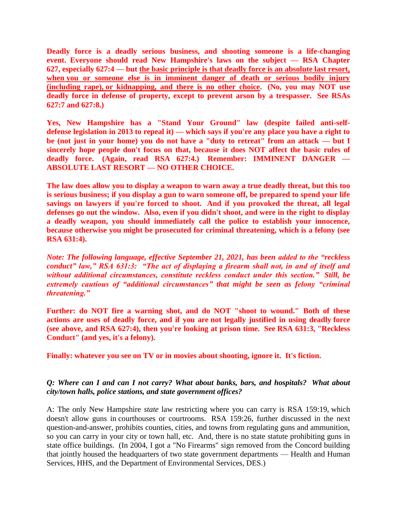**Deadly force is a deadly serious business, and shooting someone is a life-changing event. Everyone should read New Hampshire's laws on the subject — RSA Chapter 627, especially 627:4 — but the basic principle is that deadly force is an absolute last resort, when you or someone else is in imminent danger of death or serious bodily injury (including rape), or kidnapping, and there is no other choice. (No, you may NOT use deadly force in defense of property, except to prevent arson by a trespasser. See RSAs 627:7 and 627:8.)**

**Yes, New Hampshire has a "Stand Your Ground" law (despite failed anti-selfdefense legislation in 2013 to repeal it) — which says if you're any place you have a right to be (not just in your home) you do not have a "duty to retreat" from an attack — but I sincerely hope people don't focus on that, because it does NOT affect the basic rules of deadly force. (Again, read RSA 627:4.) Remember: IMMINENT DANGER — ABSOLUTE LAST RESORT — NO OTHER CHOICE.**

**The law does allow you to display a weapon to warn away a true deadly threat, but this too is serious business; if you display a gun to warn someone off, be prepared to spend your life savings on lawyers if you're forced to shoot. And if you provoked the threat, all legal defenses go out the window. Also, even if you didn't shoot, and were in the right to display a deadly weapon, you should immediately call the police to establish your innocence, because otherwise you might be prosecuted for criminal threatening, which is a felony (see RSA 631:4).** 

*Note: The following language, effective September 21, 2021, has been added to the "reckless conduct" law," RSA 631:3: "The act of displaying a firearm shall not, in and of itself and without additional circumstances, constitute reckless conduct under this section." Still, be extremely cautious of "additional circumstances" that might be seen as felony "criminal threatening."*

**Further: do NOT fire a warning shot, and do NOT "shoot to wound." Both of these actions are uses of deadly force, and if you are not legally justified in using deadly force (see above, and RSA 627:4), then you're looking at prison time. See RSA 631:3, "Reckless Conduct" (and yes, it's a felony).**

**Finally: whatever you see on TV or in movies about shooting, ignore it. It's fiction.**

# *Q: Where can I and can I not carry? What about banks, bars, and hospitals? What about city/town halls, police stations, and state government offices?*

A: The only New Hampshire *state* law restricting where you can carry is RSA 159:19, which doesn't allow guns in courthouses or courtrooms. RSA 159:26, further discussed in the next question-and-answer, prohibits counties, cities, and towns from regulating guns and ammunition, so you can carry in your city or town hall, etc. And, there is no state statute prohibiting guns in state office buildings. (In 2004, I got a "No Firearms" sign removed from the Concord building that jointly housed the headquarters of two state government departments — Health and Human Services, HHS, and the Department of Environmental Services, DES.)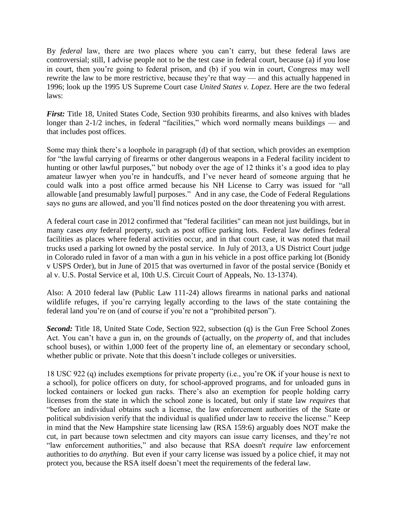By *federal* law, there are two places where you can't carry, but these federal laws are controversial; still, I advise people not to be the test case in federal court, because (a) if you lose in court, then you're going to federal prison, and (b) if you win in court, Congress may well rewrite the law to be more restrictive, because they're that way — and this actually happened in 1996; look up the 1995 US Supreme Court case *United States v. Lopez*. Here are the two federal laws:

*First:* Title 18, United States Code, Section 930 prohibits firearms, and also knives with blades longer than 2-1/2 inches, in federal "facilities," which word normally means buildings — and that includes post offices.

Some may think there's a loophole in paragraph (d) of that section, which provides an exemption for "the lawful carrying of firearms or other dangerous weapons in a Federal facility incident to hunting or other lawful purposes," but nobody over the age of 12 thinks it's a good idea to play amateur lawyer when you're in handcuffs, and I've never heard of someone arguing that he could walk into a post office armed because his NH License to Carry was issued for "all allowable [and presumably lawful] purposes." And in any case, the Code of Federal Regulations says no guns are allowed, and you'll find notices posted on the door threatening you with arrest.

A federal court case in 2012 confirmed that "federal facilities" can mean not just buildings, but in many cases *any* federal property, such as post office parking lots. Federal law defines federal facilities as places where federal activities occur, and in that court case, it was noted that mail trucks used a parking lot owned by the postal service. In July of 2013, a US District Court judge in Colorado ruled in favor of a man with a gun in his vehicle in a post office parking lot (Bonidy v USPS Order), but in June of 2015 that was overturned in favor of the postal service (Bonidy et al v. U.S. Postal Service et al, 10th U.S. Circuit Court of Appeals, No. 13-1374).

Also: A 2010 federal law (Public Law 111-24) allows firearms in national parks and national wildlife refuges, if you're carrying legally according to the laws of the state containing the federal land you're on (and of course if you're not a "prohibited person").

**Second:** Title 18, United State Code, Section 922, subsection (q) is the Gun Free School Zones Act. You can't have a gun in, on the grounds of (actually, on the *property* of, and that includes school buses), or within 1,000 feet of the property line of, an elementary or secondary school, whether public or private. Note that this doesn't include colleges or universities.

18 USC 922 (q) includes exemptions for private property (i.e., you're OK if your house is next to a school), for police officers on duty, for school-approved programs, and for unloaded guns in locked containers or locked gun racks. There's also an exemption for people holding carry licenses from the state in which the school zone is located, but only if state law *requires* that "before an individual obtains such a license, the law enforcement authorities of the State or political subdivision verify that the individual is qualified under law to receive the license." Keep in mind that the New Hampshire state licensing law (RSA 159:6) arguably does NOT make the cut, in part because town selectmen and city mayors can issue carry licenses, and they're not "law enforcement authorities," and also because that RSA doesn't *require* law enforcement authorities to do *anything*. But even if your carry license was issued by a police chief, it may not protect you, because the RSA itself doesn't meet the requirements of the federal law.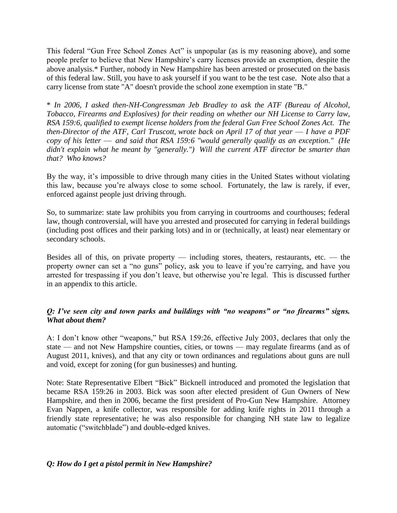This federal "Gun Free School Zones Act" is unpopular (as is my reasoning above), and some people prefer to believe that New Hampshire's carry licenses provide an exemption, despite the above analysis.\* Further, nobody in New Hampshire has been arrested or prosecuted on the basis of this federal law. Still, you have to ask yourself if you want to be the test case. Note also that a carry license from state "A" doesn't provide the school zone exemption in state "B."

\* *In 2006, I asked then-NH-Congressman Jeb Bradley to ask the ATF (Bureau of Alcohol, Tobacco, Firearms and Explosives) for their reading on whether our NH License to Carry law, RSA 159:6, qualified to exempt license holders from the federal Gun Free School Zones Act. The then-Director of the ATF, Carl Truscott, wrote back on April 17 of that year — I have a PDF copy of his letter* — *and said that RSA 159:6 "would generally qualify as an exception." (He didn't explain what he meant by "generally.") Will the current ATF director be smarter than that? Who knows?*

By the way, it's impossible to drive through many cities in the United States without violating this law, because you're always close to some school. Fortunately, the law is rarely, if ever, enforced against people just driving through.

So, to summarize: state law prohibits you from carrying in courtrooms and courthouses; federal law, though controversial, will have you arrested and prosecuted for carrying in federal buildings (including post offices and their parking lots) and in or (technically, at least) near elementary or secondary schools.

Besides all of this, on private property — including stores, theaters, restaurants, etc. — the property owner can set a "no guns" policy, ask you to leave if you're carrying, and have you arrested for trespassing if you don't leave, but otherwise you're legal. This is discussed further in an appendix to this article.

# *Q: I've seen city and town parks and buildings with "no weapons" or "no firearms" signs. What about them?*

A: I don't know other "weapons," but RSA 159:26, effective July 2003, declares that only the state — and not New Hampshire counties, cities, or towns — may regulate firearms (and as of August 2011, knives), and that any city or town ordinances and regulations about guns are null and void, except for zoning (for gun businesses) and hunting.

Note: State Representative Elbert "Bick" Bicknell introduced and promoted the legislation that became RSA 159:26 in 2003. Bick was soon after elected president of Gun Owners of New Hampshire, and then in 2006, became the first president of Pro-Gun New Hampshire. Attorney Evan Nappen, a knife collector, was responsible for adding knife rights in 2011 through a friendly state representative; he was also responsible for changing NH state law to legalize automatic ("switchblade") and double-edged knives.

# *Q: How do I get a pistol permit in New Hampshire?*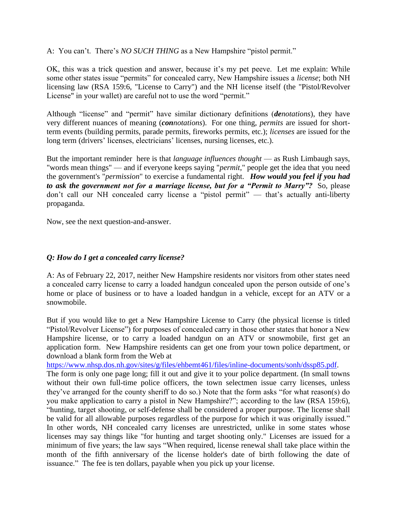A: You can't. There's *NO SUCH THING* as a New Hampshire "pistol permit."

OK, this was a trick question and answer, because it's my pet peeve. Let me explain: While some other states issue "permits" for concealed carry, New Hampshire issues a *license*; both NH licensing law (RSA 159:6, "License to Carry") and the NH license itself (the "Pistol/Revolver License" in your wallet) are careful not to use the word "permit."

Although "license" and "permit" have similar dictionary definitions (*denotations*), they have very different nuances of meaning (*connotations*). For one thing, *permits* are issued for shortterm events (building permits, parade permits, fireworks permits, etc.); *licenses* are issued for the long term (drivers' licenses, electricians' licenses, nursing licenses, etc.).

But the important reminder here is that *language influences thought* — as Rush Limbaugh says, "words mean things" — and if everyone keeps saying "*permit*," people get the idea that you need the government's "*permission*" to exercise a fundamental right. *How would you feel if you had to ask the government not for a marriage license, but for a "Permit to Marry"?* So, please don't call our NH concealed carry license a "pistol permit" — that's actually anti-liberty propaganda.

Now, see the next question-and-answer.

# *Q: How do I get a concealed carry license?*

A: As of February 22, 2017, neither New Hampshire residents nor visitors from other states need a concealed carry license to carry a loaded handgun concealed upon the person outside of one's home or place of business or to have a loaded handgun in a vehicle, except for an ATV or a snowmobile.

But if you would like to get a New Hampshire License to Carry (the physical license is titled "Pistol/Revolver License") for purposes of concealed carry in those other states that honor a New Hampshire license, or to carry a loaded handgun on an ATV or snowmobile, first get an application form. New Hampshire residents can get one from your town police department, or download a blank form from the Web at

[https://www.nhsp.dos.nh.gov/sites/g/files/ehbemt461/files/inline-documents/sonh/dssp85.pdf.](https://www.nhsp.dos.nh.gov/sites/g/files/ehbemt461/files/inline-documents/sonh/dssp85.pdf) The form is only one page long; fill it out and give it to your police department. (In small towns without their own full-time police officers, the town selectmen issue carry licenses, unless they've arranged for the county sheriff to do so.) Note that the form asks "for what reason(s) do you make application to carry a pistol in New Hampshire?"; according to the law (RSA 159:6), "hunting, target shooting, or self-defense shall be considered a proper purpose. The license shall be valid for all allowable purposes regardless of the purpose for which it was originally issued." In other words, NH concealed carry licenses are unrestricted, unlike in some states whose licenses may say things like "for hunting and target shooting only." Licenses are issued for a minimum of five years; the law says "When required, license renewal shall take place within the month of the fifth anniversary of the license holder's date of birth following the date of issuance." The fee is ten dollars, payable when you pick up your license.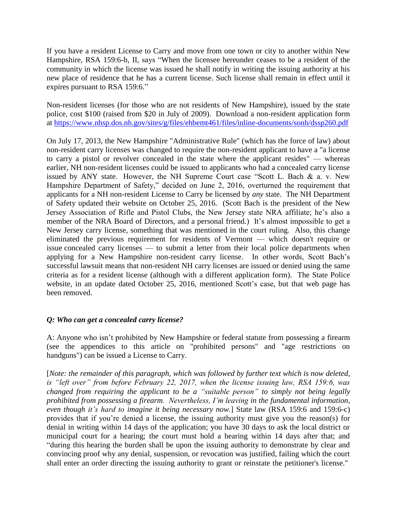If you have a resident License to Carry and move from one town or city to another within New Hampshire, RSA 159:6-b, II, says "When the licensee hereunder ceases to be a resident of the community in which the license was issued he shall notify in writing the issuing authority at his new place of residence that he has a current license. Such license shall remain in effect until it expires pursuant to RSA 159:6."

Non-resident licenses (for those who are not residents of New Hampshire), issued by the state police, cost \$100 (raised from \$20 in July of 2009). Download a non-resident application form at [https://www.nhsp.dos.nh.gov/sites/g/files/ehbemt461/files/inline-documents/sonh/dssp260.pdf](http://www.nh.gov/safety/divisions/nhsp/jib/permitslicensing/documents/dssp260.pdf)

On July 17, 2013, the New Hampshire "Administrative Rule" (which has the force of law) about non-resident carry licenses was changed to require the non-resident applicant to have a "a license to carry a pistol or revolver concealed in the state where the applicant resides" — whereas earlier, NH non-resident licenses could be issued to applicants who had a concealed carry license issued by ANY state. However, the NH Supreme Court case "Scott L. Bach & a. v. New Hampshire Department of Safety," decided on June 2, 2016, overturned the requirement that applicants for a NH non-resident License to Carry be licensed by *any* state. The NH Department of Safety updated their website on October 25, 2016. (Scott Bach is the president of the New Jersey Association of Rifle and Pistol Clubs, the New Jersey state NRA affiliate; he's also a member of the NRA Board of Directors, and a personal friend.) It's almost impossible to get a New Jersey carry license, something that was mentioned in the court ruling. Also, this change eliminated the previous requirement for residents of Vermont — which doesn't require or issue concealed carry licenses — to submit a letter from their local police departments when applying for a New Hampshire non-resident carry license. In other words, Scott Bach's successful lawsuit means that non-resident NH carry licenses are issued or denied using the same criteria as for a resident license (although with a different application form). The State Police website, in an update dated October 25, 2016, mentioned Scott's case, but that web page has been removed.

# *Q: Who can get a concealed carry license?*

A: Anyone who isn't prohibited by New Hampshire or federal statute from possessing a firearm (see the appendices to this article on "prohibited persons" and "age restrictions on handguns") can be issued a License to Carry.

[*Note: the remainder of this paragraph, which was followed by further text which is now deleted, is "left over" from before February 22, 2017, when the license issuing law, RSA 159:6, was changed from requiring the applicant to be a "suitable person" to simply not being legally prohibited from possessing a firearm. Nevertheless, I'm leaving in the fundamental information, even though it's hard to imagine it being necessary now.*] State law (RSA 159:6 and 159:6-c) provides that if you're denied a license, the issuing authority must give you the reason(s) for denial in writing within 14 days of the application; you have 30 days to ask the local district or municipal court for a hearing; the court must hold a hearing within 14 days after that; and "during this hearing the burden shall be upon the issuing authority to demonstrate by clear and convincing proof why any denial, suspension, or revocation was justified, failing which the court shall enter an order directing the issuing authority to grant or reinstate the petitioner's license."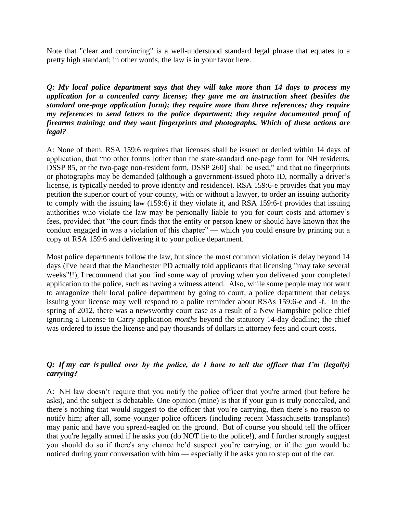Note that "clear and convincing" is a well-understood standard legal phrase that equates to a pretty high standard; in other words, the law is in your favor here.

*Q: My local police department says that they will take more than 14 days to process my application for a concealed carry license; they gave me an instruction sheet (besides the standard one-page application form); they require more than three references; they require my references to send letters to the police department; they require documented proof of firearms training; and they want fingerprints and photographs. Which of these actions are legal?* 

A: None of them. RSA 159:6 requires that licenses shall be issued or denied within 14 days of application, that "no other forms [other than the state-standard one-page form for NH residents, DSSP 85, or the two-page non-resident form, DSSP 260] shall be used," and that no fingerprints or photographs may be demanded (although a government-issued photo ID, normally a driver's license, is typically needed to prove identity and residence). RSA 159:6-e provides that you may petition the superior court of your county, with or without a lawyer, to order an issuing authority to comply with the issuing law (159:6) if they violate it, and RSA 159:6-f provides that issuing authorities who violate the law may be personally liable to you for court costs and attorney's fees, provided that "the court finds that the entity or person knew or should have known that the conduct engaged in was a violation of this chapter" — which you could ensure by printing out a copy of RSA 159:6 and delivering it to your police department.

Most police departments follow the law, but since the most common violation is delay beyond 14 days (I've heard that the Manchester PD actually told applicants that licensing "may take several weeks"!!), I recommend that you find some way of proving when you delivered your completed application to the police, such as having a witness attend. Also, while some people may not want to antagonize their local police department by going to court, a police department that delays issuing your license may well respond to a polite reminder about RSAs 159:6-e and -f. In the spring of 2012, there was a newsworthy court case as a result of a New Hampshire police chief ignoring a License to Carry application *months* beyond the statutory 14-day deadline; the chief was ordered to issue the license and pay thousands of dollars in attorney fees and court costs.

# *Q: If my car is pulled over by the police, do I have to tell the officer that I'm (legally) carrying?*

A: NH law doesn't require that you notify the police officer that you're armed (but before he asks), and the subject is debatable. One opinion (mine) is that if your gun is truly concealed, and there's nothing that would suggest to the officer that you're carrying, then there's no reason to notify him; after all, some younger police officers (including recent Massachusetts transplants) may panic and have you spread-eagled on the ground. But of course you should tell the officer that you're legally armed if he asks you (do NOT lie to the police!), and I further strongly suggest you should do so if there's any chance he'd suspect you're carrying, or if the gun would be noticed during your conversation with him — especially if he asks you to step out of the car.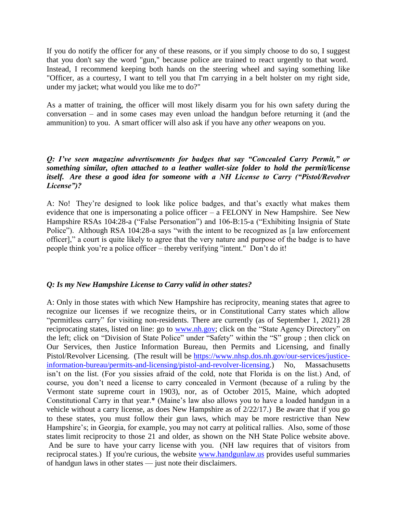If you do notify the officer for any of these reasons, or if you simply choose to do so, I suggest that you don't say the word "gun," because police are trained to react urgently to that word. Instead, I recommend keeping both hands on the steering wheel and saying something like "Officer, as a courtesy, I want to tell you that I'm carrying in a belt holster on my right side, under my jacket; what would you like me to do?"

As a matter of training, the officer will most likely disarm you for his own safety during the conversation – and in some cases may even unload the handgun before returning it (and the ammunition) to you. A smart officer will also ask if you have any *other* weapons on you.

# *Q: I've seen magazine advertisements for badges that say "Concealed Carry Permit," or something similar, often attached to a leather wallet-size folder to hold the permit/license itself. Are these a good idea for someone with a NH License to Carry ("Pistol/Revolver License")?*

A: No! They're designed to look like police badges, and that's exactly what makes them evidence that one is impersonating a police officer – a FELONY in New Hampshire. See New Hampshire RSAs 104:28-a ("False Personation") and 106-B:15-a ("Exhibiting Insignia of State Police"). Although RSA 104:28-a says "with the intent to be recognized as [a law enforcement officer]," a court is quite likely to agree that the very nature and purpose of the badge is to have people think you're a police officer – thereby verifying "intent." Don't do it!

# *Q: Is my New Hampshire License to Carry valid in other states?*

A: Only in those states with which New Hampshire has reciprocity, meaning states that agree to recognize our licenses if we recognize theirs, or in Constitutional Carry states which allow "permitless carry" for visiting non-residents. There are currently (as of September 1, 2021) 28 reciprocating states, listed on line: go to [www.nh.gov;](http://www.nh.gov/) click on the "State Agency Directory" on the left; click on "Division of State Police" under "Safety" within the "S" group ; then click on Our Services, then Justice Information Bureau, then Permits and Licensing, and finally Pistol/Revolver Licensing. (The result will be [https://www.nhsp.dos.nh.gov/our-services/justice](https://www.nhsp.dos.nh.gov/our-services/justice-information-bureau/permits-and-licensing/pistol-and-revolver-licensing)[information-bureau/permits-and-licensing/pistol-and-revolver-licensing.](https://www.nhsp.dos.nh.gov/our-services/justice-information-bureau/permits-and-licensing/pistol-and-revolver-licensing)) No, Massachusetts isn't on the list. (For you sissies afraid of the cold, note that Florida is on the list.) And, of course, you don't need a license to carry concealed in Vermont (because of a ruling by the Vermont state supreme court in 1903), nor, as of October 2015, Maine, which adopted Constitutional Carry in that year.\* (Maine's law also allows you to have a loaded handgun in a vehicle without a carry license, as does New Hampshire as of 2/22/17.) Be aware that if you go to these states, you must follow their gun laws, which may be more restrictive than New Hampshire's; in Georgia, for example, you may not carry at political rallies. Also, some of those states limit reciprocity to those 21 and older, as shown on the NH State Police website above. And be sure to have your carry license with you. (NH law requires that of visitors from reciprocal states.) If you're curious, the website [www.handgunlaw.us](http://www.handgunlaw.us/) provides useful summaries of handgun laws in other states — just note their disclaimers.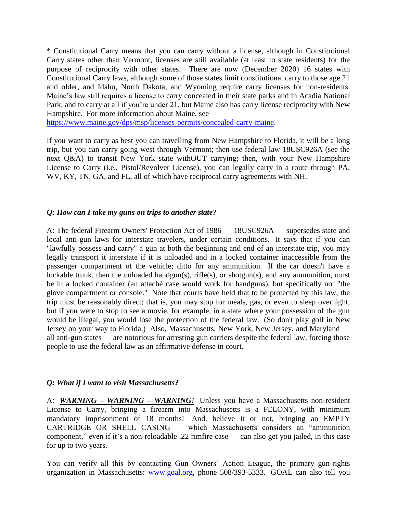\* Constitutional Carry means that you can carry without a license, although in Constitutional Carry states other than Vermont, licenses are still available (at least to state residents) for the purpose of reciprocity with other states. There are now (December 2020) 16 states with Constitutional Carry laws, although some of those states limit constitutional carry to those age 21 and older, and Idaho, North Dakota, and Wyoming require carry licenses for non-residents. Maine's law still requires a license to carry concealed in their state parks and in Acadia National Park, and to carry at all if you're under 21, but Maine also has carry license reciprocity with New Hampshire. For more information about Maine, see

[https://www.maine.gov/dps/msp/licenses-permits/concealed-carry-maine.](https://www.maine.gov/dps/msp/licenses-permits/concealed-carry-maine)

If you want to carry as best you can travelling from New Hampshire to Florida, it will be a long trip, but you can carry going west through Vermont; then use federal law 18USC926A (see the next Q&A) to transit New York state withOUT carrying; then, with your New Hampshire License to Carry (i.e., Pistol/Revolver License), you can legally carry in a route through PA, WV, KY, TN, GA, and FL, all of which have reciprocal carry agreements with NH.

#### *Q: How can I take my guns on trips to another state?*

A: The federal Firearm Owners' Protection Act of 1986 — 18USC926A — supersedes state and local anti-gun laws for interstate travelers, under certain conditions. It says that if you can "lawfully possess and carry" a gun at both the beginning and end of an interstate trip, you may legally transport it interstate if it is unloaded and in a locked container inaccessible from the passenger compartment of the vehicle; ditto for any ammunition. If the car doesn't have a lockable trunk, then the unloaded handgun(s), rifle(s), or shotgun(s), and any ammunition, must be in a locked container (an attaché case would work for handguns), but specifically not "the glove compartment or console." Note that courts have held that to be protected by this law, the trip must be reasonably direct; that is, you may stop for meals, gas, or even to sleep overnight, but if you were to stop to see a movie, for example, in a state where your possession of the gun would be illegal, you would lose the protection of the federal law. (So don't play golf in New Jersey on your way to Florida.) Also, Massachusetts, New York, New Jersey, and Maryland all anti-gun states — are notorious for arresting gun carriers despite the federal law, forcing those people to use the federal law as an affirmative defense in court.

# *Q: What if I want to visit Massachusetts?*

A: *WARNING – WARNING – WARNING!* Unless you have a Massachusetts non-resident License to Carry, bringing a firearm into Massachusetts is a FELONY, with minimum mandatory imprisonment of 18 months! And, believe it or not, bringing an EMPTY CARTRIDGE OR SHELL CASING — which Massachusetts considers an "ammunition component," even if it's a non-reloadable .22 rimfire case — can also get you jailed, in this case for up to two years.

You can verify all this by contacting Gun Owners' Action League, the primary gun-rights organization in Massachusetts: [www.goal.org,](http://www.goal.org/) phone 508/393-5333. GOAL can also tell you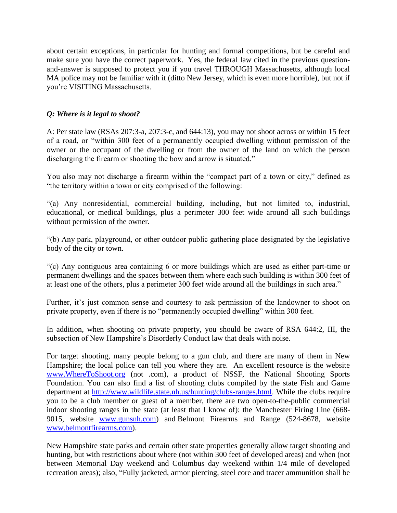about certain exceptions, in particular for hunting and formal competitions, but be careful and make sure you have the correct paperwork. Yes, the federal law cited in the previous questionand-answer is supposed to protect you if you travel THROUGH Massachusetts, although local MA police may not be familiar with it (ditto New Jersey, which is even more horrible), but not if you're VISITING Massachusetts.

# *Q: Where is it legal to shoot?*

A: Per state law (RSAs 207:3-a, 207:3-c, and 644:13), you may not shoot across or within 15 feet of a road, or "within 300 feet of a permanently occupied dwelling without permission of the owner or the occupant of the dwelling or from the owner of the land on which the person discharging the firearm or shooting the bow and arrow is situated."

You also may not discharge a firearm within the "compact part of a town or city," defined as "the territory within a town or city comprised of the following:

"(a) Any nonresidential, commercial building, including, but not limited to, industrial, educational, or medical buildings, plus a perimeter 300 feet wide around all such buildings without permission of the owner.

"(b) Any park, playground, or other outdoor public gathering place designated by the legislative body of the city or town.

"(c) Any contiguous area containing 6 or more buildings which are used as either part-time or permanent dwellings and the spaces between them where each such building is within 300 feet of at least one of the others, plus a perimeter 300 feet wide around all the buildings in such area."

Further, it's just common sense and courtesy to ask permission of the landowner to shoot on private property, even if there is no "permanently occupied dwelling" within 300 feet.

In addition, when shooting on private property, you should be aware of RSA 644:2, III, the subsection of New Hampshire's Disorderly Conduct law that deals with noise.

For target shooting, many people belong to a gun club, and there are many of them in New Hampshire; the local police can tell you where they are. An excellent resource is the website [www.WhereToShoot.org](http://www.wheretoshoot.org/) (not .com), a product of NSSF, the National Shooting Sports Foundation. You can also find a list of shooting clubs compiled by the state Fish and Game department at [http://www.wildlife.state.nh.us/hunting/clubs-ranges.html.](http://www.wildlife.state.nh.us/hunting/clubs-ranges.html) While the clubs require you to be a club member or guest of a member, there are two open-to-the-public commercial indoor shooting ranges in the state (at least that I know of): the Manchester Firing Line (668- 9015, website [www.gunsnh.com\)](http://www.gunsnh.com/) and Belmont Firearms and Range (524-8678, website [www.belmontfirearms.com\)](http://www.belmontfirearms.com/).

New Hampshire state parks and certain other state properties generally allow target shooting and hunting, but with restrictions about where (not within 300 feet of developed areas) and when (not between Memorial Day weekend and Columbus day weekend within 1/4 mile of developed recreation areas); also, "Fully jacketed, armor piercing, steel core and tracer ammunition shall be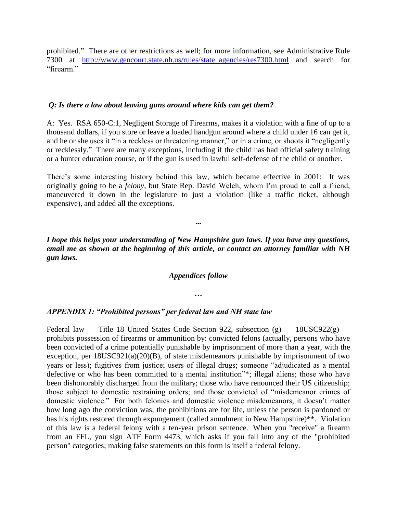prohibited." There are other restrictions as well; for more information, see Administrative Rule 7300 at [http://www.gencourt.state.nh.us/rules/state\\_agencies/res7300.html](http://www.gencourt.state.nh.us/rules/state_agencies/res7300.html) and search for "firearm"

#### *Q: Is there a law about leaving guns around where kids can get them?*

A: Yes. RSA 650-C:1, Negligent Storage of Firearms, makes it a violation with a fine of up to a thousand dollars, if you store or leave a loaded handgun around where a child under 16 can get it, and he or she uses it "in a reckless or threatening manner," or in a crime, or shoots it "negligently or recklessly." There are many exceptions, including if the child has had official safety training or a hunter education course, or if the gun is used in lawful self-defense of the child or another.

There's some interesting history behind this law, which became effective in 2001: It was originally going to be a *felony*, but State Rep. David Welch, whom I'm proud to call a friend, maneuvered it down in the legislature to just a violation (like a traffic ticket, although expensive), and added all the exceptions.

*I hope this helps your understanding of New Hampshire gun laws. If you have any questions, email me as shown at the beginning of this article, or contact an attorney familiar with NH gun laws.*

**...**

#### *Appendices follow*

#### **…**

#### *APPENDIX 1: "Prohibited persons" per federal law and NH state law*

Federal law — Title 18 United States Code Section 922, subsection  $(g)$  — 18USC922 $(g)$  prohibits possession of firearms or ammunition by: convicted felons (actually, persons who have been convicted of a crime potentially punishable by imprisonment of more than a year, with the exception, per 18USC921(a)(20)(B), of state misdemeanors punishable by imprisonment of two years or less); fugitives from justice; users of illegal drugs; someone "adjudicated as a mental defective or who has been committed to a mental institution"\*; illegal aliens; those who have been dishonorably discharged from the military; those who have renounced their US citizenship; those subject to domestic restraining orders; and those convicted of "misdemeanor crimes of domestic violence." For both felonies and domestic violence misdemeanors, it doesn't matter how long ago the conviction was; the prohibitions are for life, unless the person is pardoned or has his rights restored through expungement (called annulment in New Hampshire)<sup>\*\*</sup>. Violation of this law is a federal felony with a ten-year prison sentence. When you "receive" a firearm from an FFL, you sign ATF Form 4473, which asks if you fall into any of the "prohibited person" categories; making false statements on this form is itself a federal felony.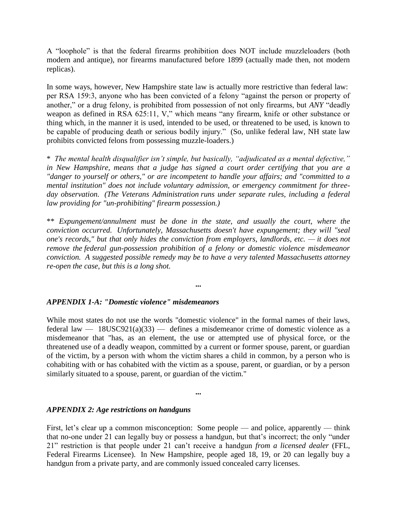A "loophole" is that the federal firearms prohibition does NOT include muzzleloaders (both modern and antique), nor firearms manufactured before 1899 (actually made then, not modern replicas).

In some ways, however, New Hampshire state law is actually more restrictive than federal law: per RSA 159:3, anyone who has been convicted of a felony "against the person or property of another," or a drug felony, is prohibited from possession of not only firearms, but *ANY* "deadly weapon as defined in RSA 625:11, V," which means "any firearm, knife or other substance or thing which, in the manner it is used, intended to be used, or threatened to be used, is known to be capable of producing death or serious bodily injury." (So, unlike federal law, NH state law prohibits convicted felons from possessing muzzle-loaders.)

\* *The mental health disqualifier isn't simple, but basically, "adjudicated as a mental defective," in New Hampshire, means that a judge has signed a court order certifying that you are a "danger to yourself or others," or are incompetent to handle your affairs; and "committed to a mental institution" does not include voluntary admission, or emergency commitment for threeday observation. (The Veterans Administration runs under separate rules, including a federal law providing for "un-prohibiting" firearm possession.)*

\*\* *Expungement/annulment must be done in the state, and usually the court, where the conviction occurred. Unfortunately, Massachusetts doesn't have expungement; they will "seal one's records," but that only hides the conviction from employers, landlords, etc. — it does not remove the federal gun-possession prohibition of a felony or domestic violence misdemeanor conviction. A suggested possible remedy may be to have a very talented Massachusetts attorney re-open the case, but this is a long shot.*

**...**

#### *APPENDIX 1-A: "Domestic violence" misdemeanors*

While most states do not use the words "domestic violence" in the formal names of their laws, federal law  $-$  18USC921(a)(33)  $-$  defines a misdemeanor crime of domestic violence as a misdemeanor that "has, as an element, the use or attempted use of physical force, or the threatened use of a deadly weapon, committed by a current or former spouse, parent, or guardian of the victim, by a person with whom the victim shares a child in common, by a person who is cohabiting with or has cohabited with the victim as a spouse, parent, or guardian, or by a person similarly situated to a spouse, parent, or guardian of the victim."

**...**

#### *APPENDIX 2: Age restrictions on handguns*

First, let's clear up a common misconception: Some people — and police, apparently — think that no-one under 21 can legally buy or possess a handgun, but that's incorrect; the only "under 21" restriction is that people under 21 can't receive a handgun *from a licensed dealer* (FFL, Federal Firearms Licensee). In New Hampshire, people aged 18, 19, or 20 can legally buy a handgun from a private party, and are commonly issued concealed carry licenses.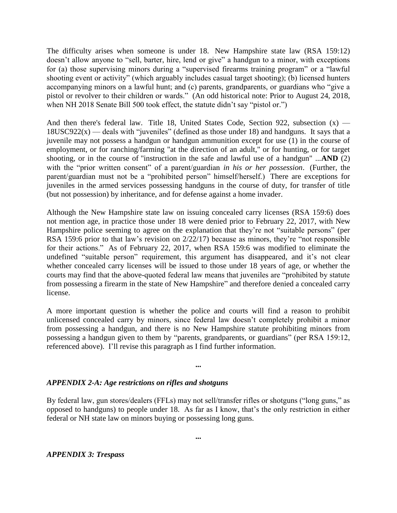The difficulty arises when someone is under 18. New Hampshire state law (RSA 159:12) doesn't allow anyone to "sell, barter, hire, lend or give" a handgun to a minor, with exceptions for (a) those supervising minors during a "supervised firearms training program" or a "lawful shooting event or activity" (which arguably includes casual target shooting); (b) licensed hunters accompanying minors on a lawful hunt; and (c) parents, grandparents, or guardians who "give a pistol or revolver to their children or wards." (An odd historical note: Prior to August 24, 2018, when NH 2018 Senate Bill 500 took effect, the statute didn't say "pistol or.")

And then there's federal law. Title 18, United States Code, Section 922, subsection  $(x)$  —  $18USC922(x)$  — deals with "juveniles" (defined as those under 18) and handguns. It says that a juvenile may not possess a handgun or handgun ammunition except for use (1) in the course of employment, or for ranching/farming "at the direction of an adult," or for hunting, or for target shooting, or in the course of "instruction in the safe and lawful use of a handgun" ...**AND** (2) with the "prior written consent" of a parent/guardian *in his or her possession*. (Further, the parent/guardian must not be a "prohibited person" himself/herself.) There are exceptions for juveniles in the armed services possessing handguns in the course of duty, for transfer of title (but not possession) by inheritance, and for defense against a home invader.

Although the New Hampshire state law on issuing concealed carry licenses (RSA 159:6) does not mention age, in practice those under 18 were denied prior to February 22, 2017, with New Hampshire police seeming to agree on the explanation that they're not "suitable persons" (per RSA 159:6 prior to that law's revision on 2/22/17) because as minors, they're "not responsible for their actions." As of February 22, 2017, when RSA 159:6 was modified to eliminate the undefined "suitable person" requirement, this argument has disappeared, and it's not clear whether concealed carry licenses will be issued to those under 18 years of age, or whether the courts may find that the above-quoted federal law means that juveniles are "prohibited by statute from possessing a firearm in the state of New Hampshire" and therefore denied a concealed carry license.

A more important question is whether the police and courts will find a reason to prohibit unlicensed concealed carry by minors, since federal law doesn't completely prohibit a minor from possessing a handgun, and there is no New Hampshire statute prohibiting minors from possessing a handgun given to them by "parents, grandparents, or guardians" (per RSA 159:12, referenced above). I'll revise this paragraph as I find further information.

#### **...**

# *APPENDIX 2-A: Age restrictions on rifles and shotguns*

By federal law, gun stores/dealers (FFLs) may not sell/transfer rifles or shotguns ("long guns," as opposed to handguns) to people under 18. As far as I know, that's the only restriction in either federal or NH state law on minors buying or possessing long guns.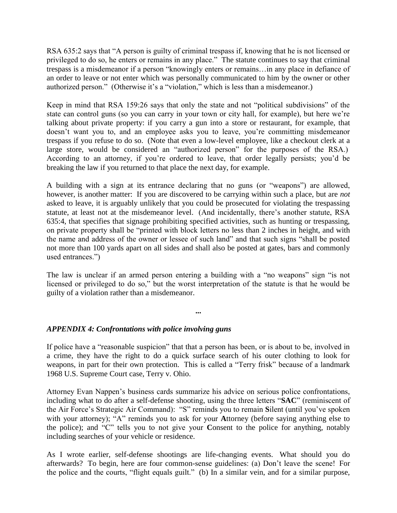RSA 635:2 says that "A person is guilty of criminal trespass if, knowing that he is not licensed or privileged to do so, he enters or remains in any place." The statute continues to say that criminal trespass is a misdemeanor if a person "knowingly enters or remains…in any place in defiance of an order to leave or not enter which was personally communicated to him by the owner or other authorized person." (Otherwise it's a "violation," which is less than a misdemeanor.)

Keep in mind that RSA 159:26 says that only the state and not "political subdivisions" of the state can control guns (so you can carry in your town or city hall, for example), but here we're talking about private property: if you carry a gun into a store or restaurant, for example, that doesn't want you to, and an employee asks you to leave, you're committing misdemeanor trespass if you refuse to do so. (Note that even a low-level employee, like a checkout clerk at a large store, would be considered an "authorized person" for the purposes of the RSA.) According to an attorney, if you're ordered to leave, that order legally persists; you'd be breaking the law if you returned to that place the next day, for example.

A building with a sign at its entrance declaring that no guns (or "weapons") are allowed, however, is another matter: If you are discovered to be carrying within such a place, but are *not* asked to leave, it is arguably unlikely that you could be prosecuted for violating the trespassing statute, at least not at the misdemeanor level. (And incidentally, there's another statute, RSA 635:4, that specifies that signage prohibiting specified activities, such as hunting or trespassing, on private property shall be "printed with block letters no less than 2 inches in height, and with the name and address of the owner or lessee of such land" and that such signs "shall be posted not more than 100 yards apart on all sides and shall also be posted at gates, bars and commonly used entrances.")

The law is unclear if an armed person entering a building with a "no weapons" sign "is not licensed or privileged to do so," but the worst interpretation of the statute is that he would be guilty of a violation rather than a misdemeanor.

**...**

# *APPENDIX 4: Confrontations with police involving guns*

If police have a "reasonable suspicion" that that a person has been, or is about to be, involved in a crime, they have the right to do a quick surface search of his outer clothing to look for weapons, in part for their own protection. This is called a "Terry frisk" because of a landmark 1968 U.S. Supreme Court case, Terry v. Ohio.

Attorney Evan Nappen's business cards summarize his advice on serious police confrontations, including what to do after a self-defense shooting, using the three letters "**SAC**" (reminiscent of the Air Force's Strategic Air Command): "S" reminds you to remain **S**ilent (until you've spoken with your attorney); "A" reminds you to ask for your **A**ttorney (before saying anything else to the police); and "C" tells you to not give your **C**onsent to the police for anything, notably including searches of your vehicle or residence.

As I wrote earlier, self-defense shootings are life-changing events. What should you do afterwards? To begin, here are four common-sense guidelines: (a) Don't leave the scene! For the police and the courts, "flight equals guilt." (b) In a similar vein, and for a similar purpose,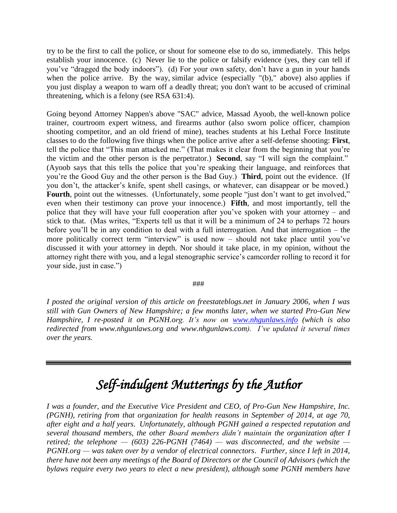try to be the first to call the police, or shout for someone else to do so, immediately. This helps establish your innocence. (c) Never lie to the police or falsify evidence (yes, they can tell if you've "dragged the body indoors"). (d) For your own safety, don't have a gun in your hands when the police arrive. By the way, similar advice (especially "(b)," above) also applies if you just display a weapon to warn off a deadly threat; you don't want to be accused of criminal threatening, which is a felony (see RSA 631:4).

Going beyond Attorney Nappen's above "SAC" advice, Massad Ayoob, the well-known police trainer, courtroom expert witness, and firearms author (also sworn police officer, champion shooting competitor, and an old friend of mine), teaches students at his Lethal Force Institute classes to do the following five things when the police arrive after a self-defense shooting: **First**, tell the police that "This man attacked me." (That makes it clear from the beginning that you're the victim and the other person is the perpetrator.) **Second**, say "I will sign the complaint." (Ayoob says that this tells the police that you're speaking their language, and reinforces that you're the Good Guy and the other person is the Bad Guy.) **Third**, point out the evidence. (If you don't, the attacker's knife, spent shell casings, or whatever, can disappear or be moved.) Fourth, point out the witnesses. (Unfortunately, some people "just don't want to get involved," even when their testimony can prove your innocence.) **Fifth**, and most importantly, tell the police that they will have your full cooperation after you've spoken with your attorney – and stick to that. (Mas writes, "Experts tell us that it will be a minimum of 24 to perhaps 72 hours before you'll be in any condition to deal with a full interrogation. And that interrogation – the more politically correct term "interview" is used now – should not take place until you've discussed it with your attorney in depth. Nor should it take place, in my opinion, without the attorney right there with you, and a legal stenographic service's camcorder rolling to record it for your side, just in case.")

#### ###

*I posted the original version of this article on freestateblogs.net in January 2006, when I was still with Gun Owners of New Hampshire; a few months later, when we started Pro-Gun New Hampshire, I re-posted it on PGNH.org. It's now on [www.nhgunlaws.info](http://www.nhgunlaws.info/) (which is also redirected from www.nhgunlaws.org and www.nhgunlaws.com). I've updated it several times over the years.*

# *Self-indulgent Mutterings by the Author*

*I was a founder, and the Executive Vice President and CEO, of Pro-Gun New Hampshire, Inc. (PGNH), retiring from that organization for health reasons in September of 2014, at age 70, after eight and a half years. Unfortunately, although PGNH gained a respected reputation and several thousand members, the other Board members didn't maintain the organization after I retired; the telephone — (603) 226-PGNH (7464) — was disconnected, and the website — PGNH.org — was taken over by a vendor of electrical connectors. Further, since I left in 2014, there have not been any meetings of the Board of Directors or the Council of Advisors (which the bylaws require every two years to elect a new president), although some PGNH members have*